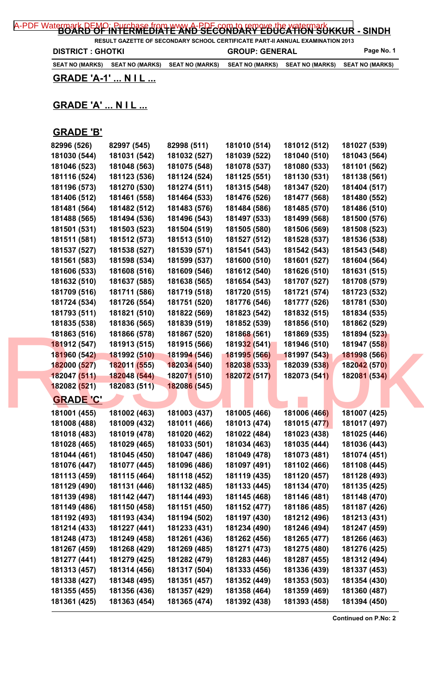| A-PDF Watermark DEMO: Purchase from WWA-PDF com to FCP Watermark - SINDH |  |
|--------------------------------------------------------------------------|--|
|                                                                          |  |

**RESULT GAZETTE OF SECONDARY SCHOOL CERTIFICATE PART-II ANNUAL EXAMINATION 2013 DISTRICT : GHOTKI GROUP: GENERAL Page No. 1** 

**SEAT NO (MARKS) SEAT NO (MARKS) SEAT NO (MARKS) SEAT NO (MARKS) SEAT NO (MARKS) SEAT NO (MARKS)**

**GRADE 'A-1' ... N I L ...**

## **GRADE 'A' ... N I L ...**

## **GRADE 'B'**

| 82996 (526)      | 82997 (545)  | 82998 (511)  | 181010 (514) | 181012 (512) | 181027 (539) |  |
|------------------|--------------|--------------|--------------|--------------|--------------|--|
| 181030 (544)     | 181031 (542) | 181032 (527) | 181039 (522) | 181040 (510) | 181043 (564) |  |
| 181046 (523)     | 181048 (563) | 181075 (548) | 181078 (537) | 181080 (533) | 181101 (562) |  |
| 181116 (524)     | 181123 (536) | 181124 (524) | 181125 (551) | 181130 (531) | 181138 (561) |  |
| 181196 (573)     | 181270 (530) | 181274 (511) | 181315 (548) | 181347 (520) | 181404 (517) |  |
| 181406 (512)     | 181461 (558) | 181464 (533) | 181476 (526) | 181477 (568) | 181480 (552) |  |
| 181481 (564)     | 181482 (512) | 181483 (576) | 181484 (586) | 181485 (570) | 181486 (510) |  |
| 181488 (565)     | 181494 (536) | 181496 (543) | 181497 (533) | 181499 (568) | 181500 (576) |  |
| 181501 (531)     | 181503 (523) | 181504 (519) | 181505 (580) | 181506 (569) | 181508 (523) |  |
| 181511 (581)     | 181512 (573) | 181513 (510) | 181527 (512) | 181528 (537) | 181536 (538) |  |
| 181537 (527)     | 181538 (527) | 181539 (571) | 181541 (543) | 181542 (543) | 181543 (548) |  |
| 181561 (583)     | 181598 (534) | 181599 (537) | 181600 (510) | 181601 (527) | 181604 (564) |  |
| 181606 (533)     | 181608 (516) | 181609 (546) | 181612 (540) | 181626 (510) | 181631 (515) |  |
| 181632 (510)     | 181637 (585) | 181638 (565) | 181654 (543) | 181707 (527) | 181708 (579) |  |
| 181709 (516)     | 181711 (586) | 181719 (518) | 181720 (515) | 181721 (574) | 181723 (532) |  |
| 181724 (534)     | 181726 (554) | 181751 (520) | 181776 (546) | 181777 (526) | 181781 (530) |  |
| 181793 (511)     | 181821 (510) | 181822 (569) | 181823 (542) | 181832 (515) | 181834 (535) |  |
| 181835 (538)     | 181836 (565) | 181839 (519) | 181852 (539) | 181856 (510) | 181862 (529) |  |
| 181863 (516)     | 181866 (578) | 181867 (520) | 181868 (561) | 181869 (535) | 181894 (523) |  |
| 181912 (547)     | 181913 (515) | 181915 (566) | 181932 (541) | 181946 (510) | 181947 (558) |  |
| 181960 (542)     | 181992 (510) | 181994 (546) | 181995 (566) | 181997 (543) | 181998 (566) |  |
| 182000 (527)     | 182011 (555) | 182034 (540) | 182038 (533) | 182039 (538) | 182042 (570) |  |
| 182047 (511)     | 182048 (544) | 182071 (510) | 182072 (517) | 182073 (541) | 182081 (534) |  |
| 182082 (521)     | 182083 (511) | 182086 (545) |              |              |              |  |
| <b>GRADE 'C'</b> |              |              |              |              |              |  |
| 181001 (455)     | 181002 (463) | 181003 (437) | 181005 (466) | 181006 (466) | 181007 (425) |  |
| 181008 (488)     | 181009 (432) | 181011 (466) | 181013 (474) | 181015 (477) | 181017 (497) |  |
| 181018 (483)     | 181019 (478) | 181020 (462) | 181022 (484) | 181023 (438) | 181025 (446) |  |
| 181028 (465)     | 181029 (465) | 181033 (501) | 181034 (463) | 181035 (444) | 181036 (443) |  |
| 181044 (461)     | 181045 (450) | 181047 (486) | 181049 (478) | 181073 (481) | 181074 (451) |  |
| 181076 (447)     | 181077 (445) | 181096 (486) | 181097 (491) | 181102 (466) | 181108 (445) |  |
| 181113 (459)     | 181115 (464) | 181118 (452) | 181119 (435) | 181120 (457) | 181128 (493) |  |
| 181129 (490)     | 181131 (446) | 181132 (485) | 181133 (445) | 181134 (470) | 181135 (425) |  |
| 181139 (498)     | 181142 (447) | 181144 (493) | 181145 (468) | 181146 (481) | 181148 (470) |  |
| 181149 (486)     | 181150 (458) | 181151 (450) | 181152 (477) | 181186 (485) | 181187 (426) |  |
| 181192 (493)     | 181193 (434) | 181194 (502) | 181197 (430) | 181212 (496) | 181213 (431) |  |
| 181214 (433)     | 181227 (441) | 181233 (431) | 181234 (490) | 181246 (494) | 181247 (459) |  |
| 181248 (473)     | 181249 (458) | 181261 (436) | 181262 (456) | 181265 (477) | 181266 (463) |  |
| 181267 (459)     | 181268 (429) | 181269 (485) | 181271 (473) | 181275 (480) | 181276 (425) |  |
| 181277 (441)     | 181279 (425) | 181282 (479) | 181283 (446) | 181287 (455) | 181312 (494) |  |
| 181313 (457)     | 181314 (456) | 181317 (504) | 181333 (456) | 181336 (439) | 181337 (453) |  |
| 181338 (427)     | 181348 (495) | 181351 (457) | 181352 (449) | 181353 (503) | 181354 (430) |  |
|                  |              |              |              |              |              |  |
| 181355 (455)     | 181356 (436) | 181357 (429) | 181358 (464) | 181359 (469) | 181360 (487) |  |
| 181361 (425)     | 181363 (454) | 181365 (474) | 181392 (438) | 181393 (458) | 181394 (450) |  |

**Continued on P.No: 2**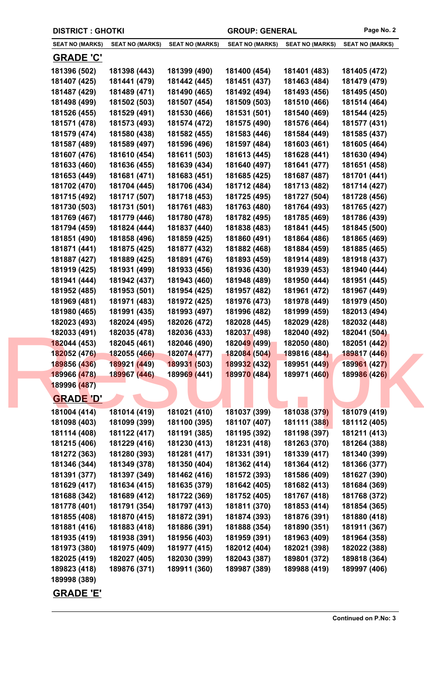|                        | <b>DISTRICT : GHOTKI</b> |                             |                        | <b>GROUP: GENERAL</b>  |                        |
|------------------------|--------------------------|-----------------------------|------------------------|------------------------|------------------------|
| <b>SEAT NO (MARKS)</b> | <b>SEAT NO (MARKS)</b>   | <b>SEAT NO (MARKS)</b>      | <b>SEAT NO (MARKS)</b> | <b>SEAT NO (MARKS)</b> | <b>SEAT NO (MARKS)</b> |
| <b>GRADE 'C'</b>       |                          |                             |                        |                        |                        |
| 181396 (502)           | 181398 (443)             | 181399 (490)                | 181400 (454)           | 181401 (483)           | 181405 (472)           |
| 181407 (425)           | 181441 (479)             | 181442 (445)                | 181451 (437)           | 181463 (484)           | 181479 (479)           |
| 181487 (429)           | 181489 (471)             | 181490 (465)                | 181492 (494)           | 181493 (456)           | 181495 (450)           |
| 181498 (499)           | 181502 (503)             | 181507 (454)                | 181509 (503)           | 181510 (466)           | 181514 (464)           |
| 181526 (455)           | 181529 (491)             | 181530 (466)                | 181531 (501)           | 181540 (469)           | 181544 (425)           |
| 181571 (478)           | 181573 (493)             | 181574 (472)                | 181575 (490)           | 181576 (464)           | 181577 (431)           |
| 181579 (474)           | 181580 (438)             | 181582 (455)                | 181583 (446)           | 181584 (449)           | 181585 (437)           |
| 181587 (489)           | 181589 (497)             | 181596 (496)                | 181597 (484)           | 181603 (461)           | 181605 (464)           |
| 181607 (476)           | 181610 (454)             | 181611 (503)                | 181613 (445)           | 181628 (441)           | 181630 (494)           |
| 181633 (460)           | 181636 (455)             | 181639 (434)                | 181640 (497)           | 181641 (477)           | 181651 (458)           |
| 181653 (449)           | 181681 (471)             | 181683 (451)                | 181685 (425)           | 181687 (487)           | 181701 (441)           |
| 181702 (470)           | 181704 (445)             | 181706 (434)                | 181712 (484)           | 181713 (482)           | 181714 (427)           |
| 181715 (492)           | 181717 (507)             | 181718 (453)                | 181725 (495)           | 181727 (504)           | 181728 (456)           |
| 181730 (503)           | 181731 (501)             | 181761 (483)                | 181763 (480)           | 181764 (493)           | 181765 (427)           |
| 181769 (467)           | 181779 (446)             | 181780 (478)                | 181782 (495)           | 181785 (469)           | 181786 (439)           |
| 181794 (459)           | 181824 (444)             | 181837 (440)                | 181838 (483)           | 181841 (445)           | 181845 (500)           |
| 181851 (490)           | 181858 (496)             | 181859 (425)                | 181860 (491)           | 181864 (486)           | 181865 (469)           |
| 181871 (441)           | 181875 (425)             | 181877 (432)                | 181882 (468)           | 181884 (459)           | 181885 (465)           |
| 181887 (427)           | 181889 (425)             | 181891 (476)                | 181893 (459)           | 181914 (489)           | 181918 (437)           |
| 181919 (425)           | 181931 (499)             | 181933 (456)                | 181936 (430)           | 181939 (453)           | 181940 (444)           |
| 181941 (444)           | 181942 (437)             | 181943 (460)                | 181948 (489)           | 181950 (444)           | 181951 (445)           |
| 181952 (485)           | 181953 (501)             | 181954 (425)                | 181957 (482)           | 181961 (472)           | 181967 (449)           |
| 181969 (481)           | 181971 (483)             | 181972 (425)                | 181976 (473)           | 181978 (449)           | 181979 (450)           |
| 181980 (465)           | 181991 (435)             | 181993 (497)                | 181996 (482)           | 181999 (459)           | 182013 (494)           |
| 182023 (493)           | 182024 (495)             | 182026 (472)                | 182028 (445)           | 182029 (428)           | 182032 (448)           |
| 182033 (491)           | 182035 (478)             | 182036 (433)                | 182037 (498)           | 182040 (492)           | 182041 (504)           |
| 182044 (453)           | 182045 (461)             | 182046 (490)                | 182049 (499)           | 182050 (480)           | 182051 (442)           |
| 182052 (476)           | 182055 (466)             | 182074 (477)                | 182084 (504)           | 189816 (484)           | 189817 (446)           |
| 189856 (436)           | 189921 (449)             | 189931 (503)                | 189932 (432)           | 189951 (449)           | 189961 (427)           |
| 189966 (478)           | 189967 (446)             | 18996 <mark>9 (</mark> 441) | 189970 (484)           | 189971 (460)           | 189986 (426)           |
| 189996 (487)           |                          |                             |                        |                        |                        |
|                        |                          |                             |                        |                        |                        |
| <b>GRADE 'D'</b>       |                          |                             |                        |                        |                        |
| 181004 (414)           | 181014 (419)             | 181021 (410)                | 181037 (399)           | 181038 (379)           | 181079 (419)           |
| 181098 (403)           | 181099 (399)             | 181100 (395)                | 181107 (407)           | 181111 (388)           | 181112 (405)           |
| 181114 (408)           | 181122 (417)             | 181191 (385)                | 181195 (392)           | 181198 (397)           | 181211 (413)           |
| 181215 (406)           | 181229 (416)             | 181230 (413)                | 181231 (418)           | 181263 (370)           | 181264 (388)           |
| 181272 (363)           | 181280 (393)             | 181281 (417)                | 181331 (391)           | 181339 (417)           | 181340 (399)           |
| 181346 (344)           | 181349 (378)             | 181350 (404)                | 181362 (414)           | 181364 (412)           | 181366 (377)           |
| 181391 (377)           | 181397 (349)             | 181462 (416)                | 181572 (393)           | 181586 (409)           | 181627 (390)           |
| 181629 (417)           | 181634 (415)             | 181635 (379)                | 181642 (405)           | 181682 (413)           | 181684 (369)           |
| 181688 (342)           | 181689 (412)             | 181722 (369)                | 181752 (405)           | 181767 (418)           | 181768 (372)           |
| 181778 (401)           | 181791 (354)             | 181797 (413)                | 181811 (370)           | 181853 (414)           | 181854 (365)           |
| 181855 (408)           | 181870 (415)             | 181872 (391)                | 181874 (393)           | 181876 (391)           | 181880 (418)           |
| 181881 (416)           | 181883 (418)             | 181886 (391)                | 181888 (354)           | 181890 (351)           | 181911 (367)           |
| 181935 (419)           | 181938 (391)             | 181956 (403)                | 181959 (391)           | 181963 (409)           | 181964 (358)           |
| 181973 (380)           | 181975 (409)             | 181977 (415)                | 182012 (404)           | 182021 (398)           | 182022 (388)           |
| 182025 (419)           | 182027 (405)             | 182030 (399)                | 182043 (387)           | 189801 (372)           | 189818 (364)           |
| 189823 (418)           | 189876 (371)             | 189911 (360)                | 189987 (389)           | 189988 (419)           | 189997 (406)           |
| 189998 (389)           |                          |                             |                        |                        |                        |
| <b>GRADE 'E'</b>       |                          |                             |                        |                        |                        |

**Continued on P.No: 3**